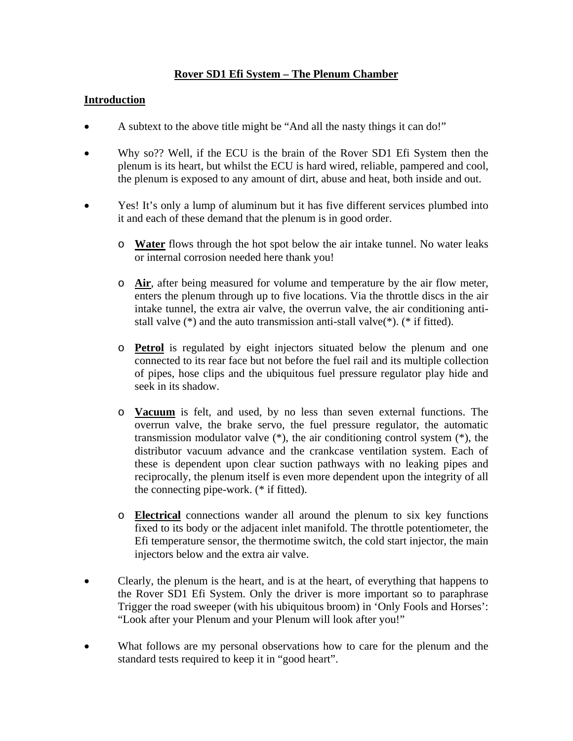## **Rover SD1 Efi System – The Plenum Chamber**

### **Introduction**

- A subtext to the above title might be "And all the nasty things it can do!"
- Why so?? Well, if the ECU is the brain of the Rover SD1 Efi System then the plenum is its heart, but whilst the ECU is hard wired, reliable, pampered and cool, the plenum is exposed to any amount of dirt, abuse and heat, both inside and out.
- Yes! It's only a lump of aluminum but it has five different services plumbed into it and each of these demand that the plenum is in good order.
	- o **Water** flows through the hot spot below the air intake tunnel. No water leaks or internal corrosion needed here thank you!
	- o **Air**, after being measured for volume and temperature by the air flow meter, enters the plenum through up to five locations. Via the throttle discs in the air intake tunnel, the extra air valve, the overrun valve, the air conditioning antistall valve (\*) and the auto transmission anti-stall valve(\*). (\* if fitted).
	- o **Petrol** is regulated by eight injectors situated below the plenum and one connected to its rear face but not before the fuel rail and its multiple collection of pipes, hose clips and the ubiquitous fuel pressure regulator play hide and seek in its shadow.
	- o **Vacuum** is felt, and used, by no less than seven external functions. The overrun valve, the brake servo, the fuel pressure regulator, the automatic transmission modulator valve (\*), the air conditioning control system (\*), the distributor vacuum advance and the crankcase ventilation system. Each of these is dependent upon clear suction pathways with no leaking pipes and reciprocally, the plenum itself is even more dependent upon the integrity of all the connecting pipe-work. (\* if fitted).
	- o **Electrical** connections wander all around the plenum to six key functions fixed to its body or the adjacent inlet manifold. The throttle potentiometer, the Efi temperature sensor, the thermotime switch, the cold start injector, the main injectors below and the extra air valve.
- Clearly, the plenum is the heart, and is at the heart, of everything that happens to the Rover SD1 Efi System. Only the driver is more important so to paraphrase Trigger the road sweeper (with his ubiquitous broom) in 'Only Fools and Horses': "Look after your Plenum and your Plenum will look after you!"
- What follows are my personal observations how to care for the plenum and the standard tests required to keep it in "good heart".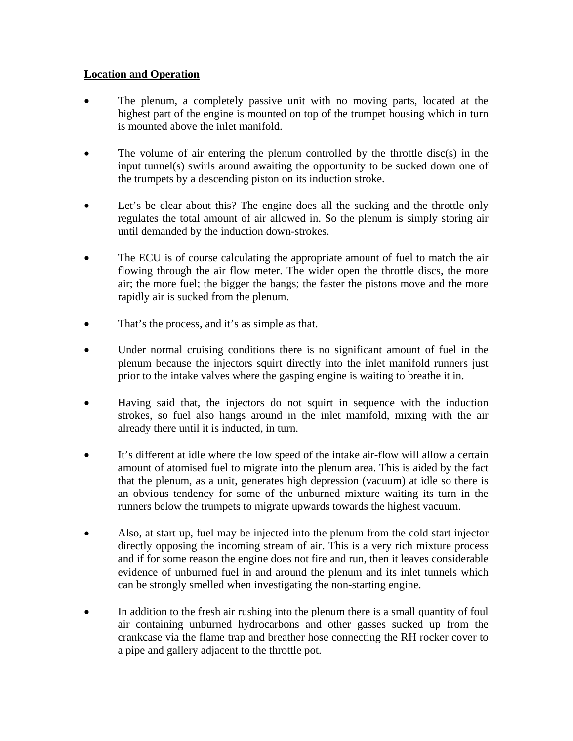## **Location and Operation**

- The plenum, a completely passive unit with no moving parts, located at the highest part of the engine is mounted on top of the trumpet housing which in turn is mounted above the inlet manifold.
- The volume of air entering the plenum controlled by the throttle disc $(s)$  in the input tunnel(s) swirls around awaiting the opportunity to be sucked down one of the trumpets by a descending piston on its induction stroke.
- Let's be clear about this? The engine does all the sucking and the throttle only regulates the total amount of air allowed in. So the plenum is simply storing air until demanded by the induction down-strokes.
- The ECU is of course calculating the appropriate amount of fuel to match the air flowing through the air flow meter. The wider open the throttle discs, the more air; the more fuel; the bigger the bangs; the faster the pistons move and the more rapidly air is sucked from the plenum.
- That's the process, and it's as simple as that.
- Under normal cruising conditions there is no significant amount of fuel in the plenum because the injectors squirt directly into the inlet manifold runners just prior to the intake valves where the gasping engine is waiting to breathe it in.
- Having said that, the injectors do not squirt in sequence with the induction strokes, so fuel also hangs around in the inlet manifold, mixing with the air already there until it is inducted, in turn.
- It's different at idle where the low speed of the intake air-flow will allow a certain amount of atomised fuel to migrate into the plenum area. This is aided by the fact that the plenum, as a unit, generates high depression (vacuum) at idle so there is an obvious tendency for some of the unburned mixture waiting its turn in the runners below the trumpets to migrate upwards towards the highest vacuum.
- Also, at start up, fuel may be injected into the plenum from the cold start injector directly opposing the incoming stream of air. This is a very rich mixture process and if for some reason the engine does not fire and run, then it leaves considerable evidence of unburned fuel in and around the plenum and its inlet tunnels which can be strongly smelled when investigating the non-starting engine.
- In addition to the fresh air rushing into the plenum there is a small quantity of foul air containing unburned hydrocarbons and other gasses sucked up from the crankcase via the flame trap and breather hose connecting the RH rocker cover to a pipe and gallery adjacent to the throttle pot.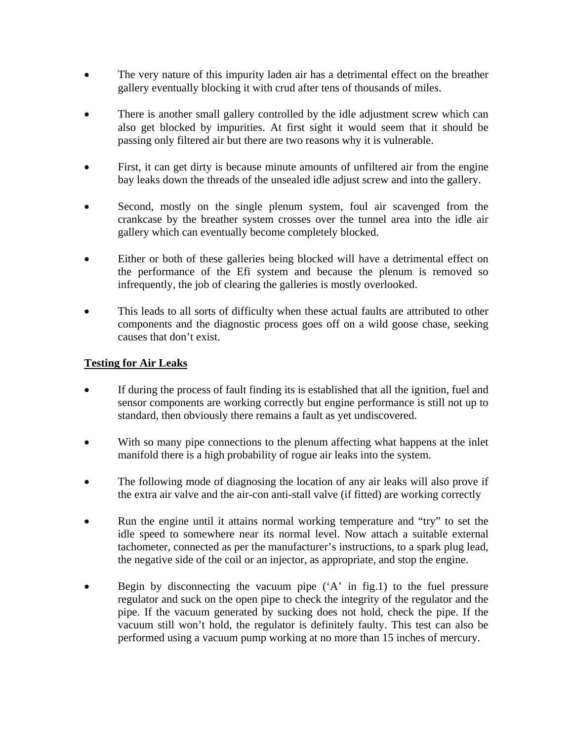- The very nature of this impurity laden air has a detrimental effect on the breather gallery eventually blocking it with crud after tens of thousands of miles.
- There is another small gallery controlled by the idle adjustment screw which can also get blocked by impurities. At first sight it would seem that it should be passing only filtered air but there are two reasons why it is vulnerable.
- First, it can get dirty is because minute amounts of unfiltered air from the engine bay leaks down the threads of the unsealed idle adjust screw and into the gallery.
- Second, mostly on the single plenum system, foul air scavenged from the crankcase by the breather system crosses over the tunnel area into the idle air gallery which can eventually become completely blocked.
- Either or both of these galleries being blocked will have a detrimental effect on the performance of the Efi system and because the plenum is removed so infrequently, the job of clearing the galleries is mostly overlooked.
- This leads to all sorts of difficulty when these actual faults are attributed to other components and the diagnostic process goes off on a wild goose chase, seeking causes that don't exist.

## **Testing for Air Leaks**

- If during the process of fault finding its is established that all the ignition, fuel and sensor components are working correctly but engine performance is still not up to standard, then obviously there remains a fault as yet undiscovered.
- With so many pipe connections to the plenum affecting what happens at the inlet manifold there is a high probability of rogue air leaks into the system.
- The following mode of diagnosing the location of any air leaks will also prove if the extra air valve and the air-con anti-stall valve (if fitted) are working correctly
- Run the engine until it attains normal working temperature and "try" to set the idle speed to somewhere near its normal level. Now attach a suitable external tachometer, connected as per the manufacturer's instructions, to a spark plug lead, the negative side of the coil or an injector, as appropriate, and stop the engine.
- Begin by disconnecting the vacuum pipe  $(A^{\prime})$  in fig.1) to the fuel pressure regulator and suck on the open pipe to check the integrity of the regulator and the pipe. If the vacuum generated by sucking does not hold, check the pipe. If the vacuum still won't hold, the regulator is definitely faulty. This test can also be performed using a vacuum pump working at no more than 15 inches of mercury.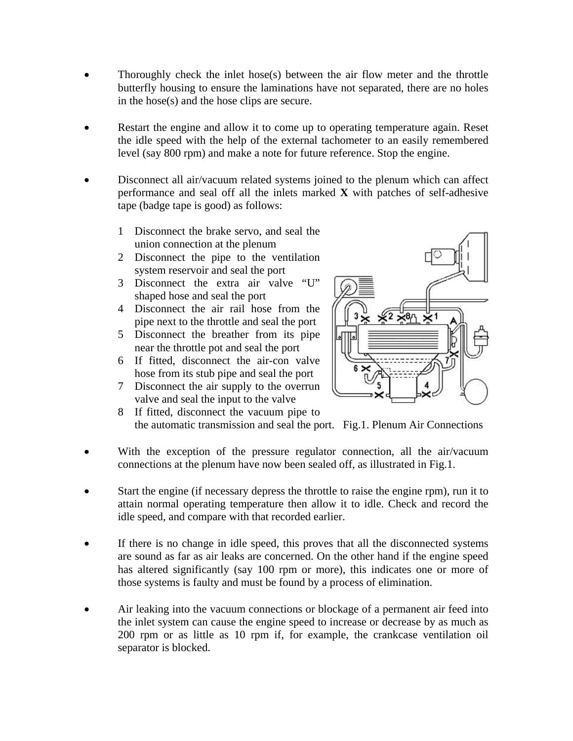- Thoroughly check the inlet hose(s) between the air flow meter and the throttle butterfly housing to ensure the laminations have not separated, there are no holes in the hose(s) and the hose clips are secure.
- Restart the engine and allow it to come up to operating temperature again. Reset the idle speed with the help of the external tachometer to an easily remembered level (say 800 rpm) and make a note for future reference. Stop the engine.
- Disconnect all air/vacuum related systems joined to the plenum which can affect performance and seal off all the inlets marked **X** with patches of self-adhesive tape (badge tape is good) as follows:
	- 1 Disconnect the brake servo, and seal the union connection at the plenum
	- 2 Disconnect the pipe to the ventilation system reservoir and seal the port
	- 3 Disconnect the extra air valve "U" shaped hose and seal the port
	- 4 Disconnect the air rail hose from the pipe next to the throttle and seal the port
	- 5 Disconnect the breather from its pipe near the throttle pot and seal the port
	- 6 If fitted, disconnect the air-con valve hose from its stub pipe and seal the port
	- 7 Disconnect the air supply to the overrun valve and seal the input to the valve



- 8 If fitted, disconnect the vacuum pipe to the automatic transmission and seal the port. Fig.1. Plenum Air Connections
- With the exception of the pressure regulator connection, all the air/vacuum connections at the plenum have now been sealed off, as illustrated in Fig.1.
- Start the engine (if necessary depress the throttle to raise the engine rpm), run it to attain normal operating temperature then allow it to idle. Check and record the idle speed, and compare with that recorded earlier.
- If there is no change in idle speed, this proves that all the disconnected systems are sound as far as air leaks are concerned. On the other hand if the engine speed has altered significantly (say 100 rpm or more), this indicates one or more of those systems is faulty and must be found by a process of elimination.
- Air leaking into the vacuum connections or blockage of a permanent air feed into the inlet system can cause the engine speed to increase or decrease by as much as 200 rpm or as little as 10 rpm if, for example, the crankcase ventilation oil separator is blocked.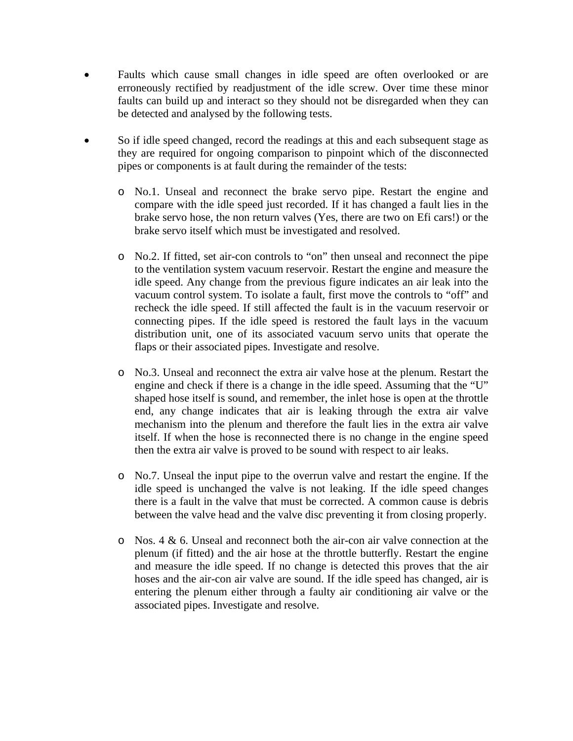- Faults which cause small changes in idle speed are often overlooked or are erroneously rectified by readjustment of the idle screw. Over time these minor faults can build up and interact so they should not be disregarded when they can be detected and analysed by the following tests.
- So if idle speed changed, record the readings at this and each subsequent stage as they are required for ongoing comparison to pinpoint which of the disconnected pipes or components is at fault during the remainder of the tests:
	- o No.1. Unseal and reconnect the brake servo pipe. Restart the engine and compare with the idle speed just recorded. If it has changed a fault lies in the brake servo hose, the non return valves (Yes, there are two on Efi cars!) or the brake servo itself which must be investigated and resolved.
	- o No.2. If fitted, set air-con controls to "on" then unseal and reconnect the pipe to the ventilation system vacuum reservoir. Restart the engine and measure the idle speed. Any change from the previous figure indicates an air leak into the vacuum control system. To isolate a fault, first move the controls to "off" and recheck the idle speed. If still affected the fault is in the vacuum reservoir or connecting pipes. If the idle speed is restored the fault lays in the vacuum distribution unit, one of its associated vacuum servo units that operate the flaps or their associated pipes. Investigate and resolve.
	- o No.3. Unseal and reconnect the extra air valve hose at the plenum. Restart the engine and check if there is a change in the idle speed. Assuming that the "U" shaped hose itself is sound, and remember, the inlet hose is open at the throttle end, any change indicates that air is leaking through the extra air valve mechanism into the plenum and therefore the fault lies in the extra air valve itself. If when the hose is reconnected there is no change in the engine speed then the extra air valve is proved to be sound with respect to air leaks.
	- o No.7. Unseal the input pipe to the overrun valve and restart the engine. If the idle speed is unchanged the valve is not leaking. If the idle speed changes there is a fault in the valve that must be corrected. A common cause is debris between the valve head and the valve disc preventing it from closing properly.
	- o Nos. 4 & 6. Unseal and reconnect both the air-con air valve connection at the plenum (if fitted) and the air hose at the throttle butterfly. Restart the engine and measure the idle speed. If no change is detected this proves that the air hoses and the air-con air valve are sound. If the idle speed has changed, air is entering the plenum either through a faulty air conditioning air valve or the associated pipes. Investigate and resolve.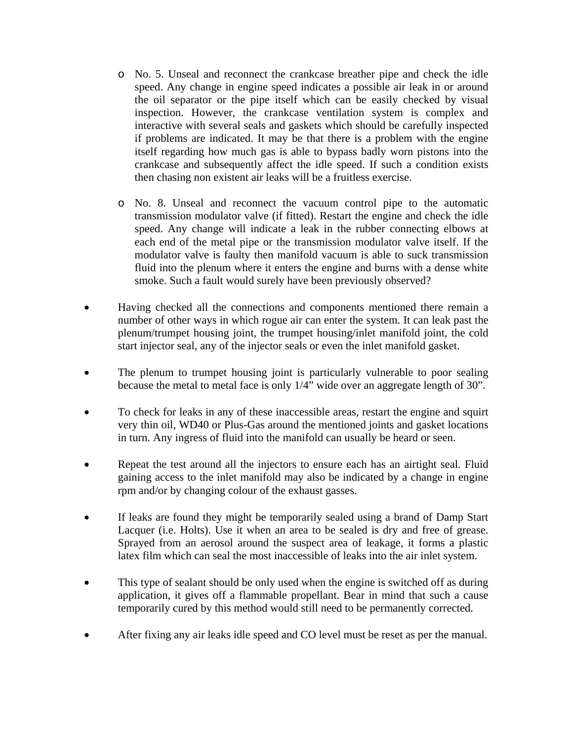- o No. 5. Unseal and reconnect the crankcase breather pipe and check the idle speed. Any change in engine speed indicates a possible air leak in or around the oil separator or the pipe itself which can be easily checked by visual inspection. However, the crankcase ventilation system is complex and interactive with several seals and gaskets which should be carefully inspected if problems are indicated. It may be that there is a problem with the engine itself regarding how much gas is able to bypass badly worn pistons into the crankcase and subsequently affect the idle speed. If such a condition exists then chasing non existent air leaks will be a fruitless exercise.
- o No. 8. Unseal and reconnect the vacuum control pipe to the automatic transmission modulator valve (if fitted). Restart the engine and check the idle speed. Any change will indicate a leak in the rubber connecting elbows at each end of the metal pipe or the transmission modulator valve itself. If the modulator valve is faulty then manifold vacuum is able to suck transmission fluid into the plenum where it enters the engine and burns with a dense white smoke. Such a fault would surely have been previously observed?
- Having checked all the connections and components mentioned there remain a number of other ways in which rogue air can enter the system. It can leak past the plenum/trumpet housing joint, the trumpet housing/inlet manifold joint, the cold start injector seal, any of the injector seals or even the inlet manifold gasket.
- The plenum to trumpet housing joint is particularly vulnerable to poor sealing because the metal to metal face is only 1/4" wide over an aggregate length of 30".
- To check for leaks in any of these inaccessible areas, restart the engine and squirt very thin oil, WD40 or Plus-Gas around the mentioned joints and gasket locations in turn. Any ingress of fluid into the manifold can usually be heard or seen.
- Repeat the test around all the injectors to ensure each has an airtight seal. Fluid gaining access to the inlet manifold may also be indicated by a change in engine rpm and/or by changing colour of the exhaust gasses.
- If leaks are found they might be temporarily sealed using a brand of Damp Start Lacquer (i.e. Holts). Use it when an area to be sealed is dry and free of grease. Sprayed from an aerosol around the suspect area of leakage, it forms a plastic latex film which can seal the most inaccessible of leaks into the air inlet system.
- This type of sealant should be only used when the engine is switched off as during application, it gives off a flammable propellant. Bear in mind that such a cause temporarily cured by this method would still need to be permanently corrected.
- After fixing any air leaks idle speed and CO level must be reset as per the manual.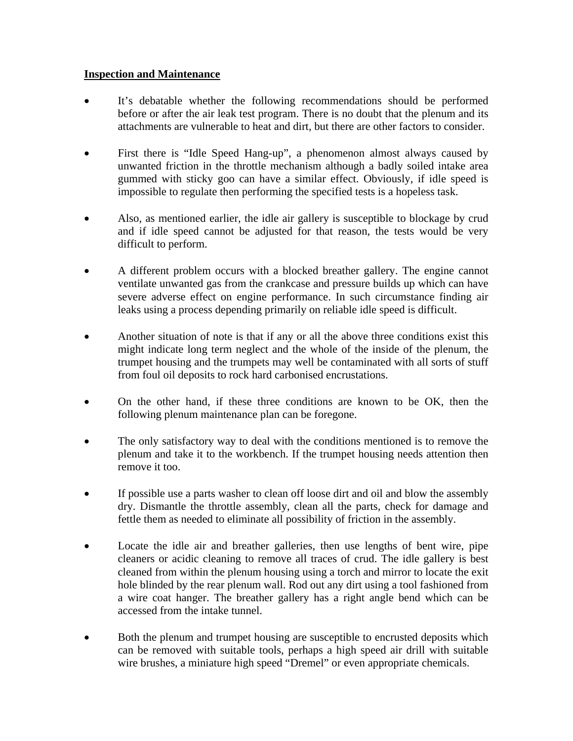### **Inspection and Maintenance**

- It's debatable whether the following recommendations should be performed before or after the air leak test program. There is no doubt that the plenum and its attachments are vulnerable to heat and dirt, but there are other factors to consider.
- First there is "Idle Speed Hang-up", a phenomenon almost always caused by unwanted friction in the throttle mechanism although a badly soiled intake area gummed with sticky goo can have a similar effect. Obviously, if idle speed is impossible to regulate then performing the specified tests is a hopeless task.
- Also, as mentioned earlier, the idle air gallery is susceptible to blockage by crud and if idle speed cannot be adjusted for that reason, the tests would be very difficult to perform.
- A different problem occurs with a blocked breather gallery. The engine cannot ventilate unwanted gas from the crankcase and pressure builds up which can have severe adverse effect on engine performance. In such circumstance finding air leaks using a process depending primarily on reliable idle speed is difficult.
- Another situation of note is that if any or all the above three conditions exist this might indicate long term neglect and the whole of the inside of the plenum, the trumpet housing and the trumpets may well be contaminated with all sorts of stuff from foul oil deposits to rock hard carbonised encrustations.
- On the other hand, if these three conditions are known to be OK, then the following plenum maintenance plan can be foregone.
- The only satisfactory way to deal with the conditions mentioned is to remove the plenum and take it to the workbench. If the trumpet housing needs attention then remove it too.
- If possible use a parts washer to clean off loose dirt and oil and blow the assembly dry. Dismantle the throttle assembly, clean all the parts, check for damage and fettle them as needed to eliminate all possibility of friction in the assembly.
- Locate the idle air and breather galleries, then use lengths of bent wire, pipe cleaners or acidic cleaning to remove all traces of crud. The idle gallery is best cleaned from within the plenum housing using a torch and mirror to locate the exit hole blinded by the rear plenum wall. Rod out any dirt using a tool fashioned from a wire coat hanger. The breather gallery has a right angle bend which can be accessed from the intake tunnel.
- Both the plenum and trumpet housing are susceptible to encrusted deposits which can be removed with suitable tools, perhaps a high speed air drill with suitable wire brushes, a miniature high speed "Dremel" or even appropriate chemicals.